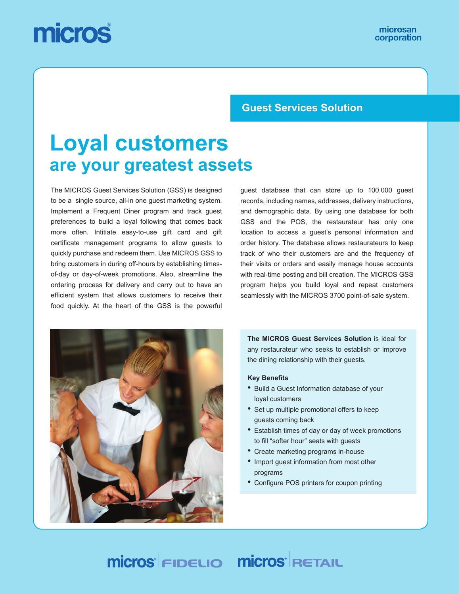# micros

### **Guest Services Solution**

# **Loyal customers are your greatest assets**

The MICROS Guest Services Solution (GSS) is designed to be a single source, all-in one guest marketing system. Implement a Frequent Diner program and track guest preferences to build a loyal following that comes back more often. Intitiate easy-to-use gift card and gift certificate management programs to allow guests to quickly purchase and redeem them. Use MICROS GSS to bring customers in during off-hours by establishing timesof-day or day-of-week promotions. Also, streamline the ordering process for delivery and carry out to have an efficient system that allows customers to receive their food quickly. At the heart of the GSS is the powerful

guest database that can store up to 100,000 guest records, including names, addresses, delivery instructions, and demographic data. By using one database for both GSS and the POS, the restaurateur has only one location to access a guest's personal information and order history. The database allows restaurateurs to keep track of who their customers are and the frequency of their visits or orders and easily manage house accounts with real-time posting and bill creation. The MICROS GSS program helps you build loyal and repeat customers seamlessly with the MICROS 3700 point-of-sale system.



**The MICROS Guest Services Solution** is ideal for any restaurateur who seeks to establish or improve the dining relationship with their guests.

#### **Key Benefits**

- Build a Guest Information database of your loyal customers
- Set up multiple promotional offers to keep guests coming back
- Establish times of day or day of week promotions to fill "softer hour" seats with guests
- Create marketing programs in-house
- Import guest information from most other programs
- Configure POS printers for coupon printing

## **Micros FIDELIO Micros RETAIL**